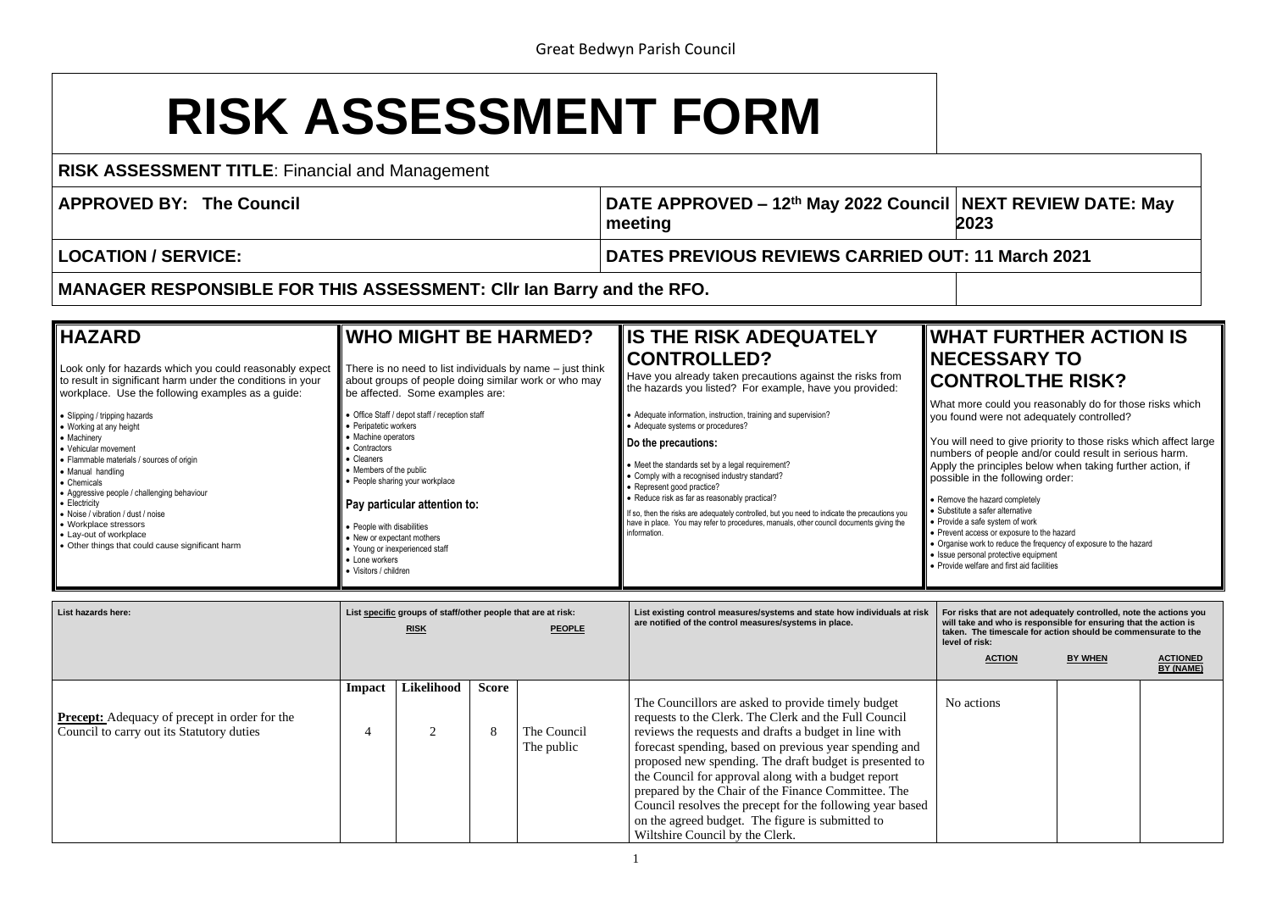# **RISK ASSESSMENT FORM**

**RISK ASSESSMENT TITLE**: Financial and Management

#### **NEXT REVIEW DATE: May 2023**

| <b>APPROVED BY: The Council</b> | $\vert$ DATE APPROVED - 12 <sup>th</sup> May 2022 Council<br>meeting |
|---------------------------------|----------------------------------------------------------------------|

**LOCATION / SERVICE: DATES PREVIOUS REVIEWS CARRIED OUT: 11 March 2021**

**MANAGER RESPONSIBLE FOR THIS ASSESSMENT: Cllr Ian Barry and the RFO.**

| <b>IHAZARD</b>                                                                                                                                                                                                                                                                                                                    | <b>WHO MIGHT BE HARMED?</b>                                                                                                                                                                                                                                                   | <b>IIS THE RISK ADEQUATELY</b>                                                                                                                                                                                                                                                                                                                                                                                      | <b>WH</b>                                                                                                                              |
|-----------------------------------------------------------------------------------------------------------------------------------------------------------------------------------------------------------------------------------------------------------------------------------------------------------------------------------|-------------------------------------------------------------------------------------------------------------------------------------------------------------------------------------------------------------------------------------------------------------------------------|---------------------------------------------------------------------------------------------------------------------------------------------------------------------------------------------------------------------------------------------------------------------------------------------------------------------------------------------------------------------------------------------------------------------|----------------------------------------------------------------------------------------------------------------------------------------|
| Look only for hazards which you could reasonably expect                                                                                                                                                                                                                                                                           | There is no need to list individuals by name - just think                                                                                                                                                                                                                     | <b>ICONTROLLED?</b>                                                                                                                                                                                                                                                                                                                                                                                                 | <b>NE</b>                                                                                                                              |
| to result in significant harm under the conditions in your                                                                                                                                                                                                                                                                        | about groups of people doing similar work or who may                                                                                                                                                                                                                          | Have you already taken precautions against the risks from                                                                                                                                                                                                                                                                                                                                                           | CO                                                                                                                                     |
| workplace. Use the following examples as a guide:                                                                                                                                                                                                                                                                                 | be affected. Some examples are:                                                                                                                                                                                                                                               | the hazards you listed? For example, have you provided:                                                                                                                                                                                                                                                                                                                                                             | What i                                                                                                                                 |
| • Slipping / tripping hazards                                                                                                                                                                                                                                                                                                     | Office Staff / depot staff / reception staff                                                                                                                                                                                                                                  | • Adequate information, instruction, training and supervision?                                                                                                                                                                                                                                                                                                                                                      | you fo                                                                                                                                 |
| • Working at any height                                                                                                                                                                                                                                                                                                           | Peripatetic workers                                                                                                                                                                                                                                                           | • Adequate systems or procedures?                                                                                                                                                                                                                                                                                                                                                                                   |                                                                                                                                        |
| • Machinery<br>• Vehicular movement<br>• Flammable materials / sources of origin<br>• Manual handling<br>• Chemicals<br>• Aggressive people / challenging behaviour<br>• Electricity<br>• Noise / vibration / dust / noise<br>• Workplace stressors<br>• Lay-out of workplace<br>• Other things that could cause significant harm | Machine operators<br>Contractors<br>Cleaners<br>Members of the public<br>▶ People sharing your workplace<br>Pay particular attention to:<br>• People with disabilities<br>New or expectant mothers<br>Young or inexperienced staff<br>▶ Lone workers<br>• Visitors / children | Do the precautions:<br>• Meet the standards set by a legal requirement?<br>• Comply with a recognised industry standard?<br>• Represent good practice?<br>• Reduce risk as far as reasonably practical?<br>If so, then the risks are adequately controlled, but you need to indicate the precautions you<br>have in place. You may refer to procedures, manuals, other council documents giving the<br>information. | You w<br>numbe<br>Apply<br>possib<br>• Remoy<br>• Substit<br>• Provid<br>$\bullet$ Prever<br>• Organi<br>$\bullet$ Issue p<br>• Provid |

**For risks that are not adequately controlled, note the actions you**  take and who is responsible for ensuring that the action is **taken. The timescale for action should be commensurate to the l** of risk:

| <b>ACTION</b> | <b>BY WHEN</b> | <b>ACTIONED</b><br>BY (NAME) |
|---------------|----------------|------------------------------|
| No actions    |                |                              |
|               |                |                              |
|               |                |                              |
|               |                |                              |

# **WHAT FURTHER ACTION IS CESSARY TO CONTROLTHE RISK?**

more could you reasonably do for those risks which bund were not adequately controlled?

vill need to give priority to those risks which affect large ers of people and/or could result in serious harm. the principles below when taking further action, if ble in the following order:

ve the hazard completely itute a safer alternative de a safe system of work nt access or exposure to the hazard hise work to reduce the frequency of exposure to the hazard personal protective equipment

le welfare and first aid facilities

| List hazards here:                                                                                |             | List specific groups of staff/other people that are at risk:<br><b>RISK</b> |                   | <b>PEOPLE</b>             | List existing control measures/systems and state how individuals at risk<br>are notified of the control measures/systems in place.                                                                                                                                                                                                                                                                                                                                                                                                                          | For i<br>will 1<br>take<br>level |
|---------------------------------------------------------------------------------------------------|-------------|-----------------------------------------------------------------------------|-------------------|---------------------------|-------------------------------------------------------------------------------------------------------------------------------------------------------------------------------------------------------------------------------------------------------------------------------------------------------------------------------------------------------------------------------------------------------------------------------------------------------------------------------------------------------------------------------------------------------------|----------------------------------|
| <b>Precept:</b> Adequacy of precept in order for the<br>Council to carry out its Statutory duties | Impact<br>4 | Likelihood                                                                  | <b>Score</b><br>8 | The Council<br>The public | The Councillors are asked to provide timely budget<br>requests to the Clerk. The Clerk and the Full Council<br>reviews the requests and drafts a budget in line with<br>forecast spending, based on previous year spending and<br>proposed new spending. The draft budget is presented to<br>the Council for approval along with a budget report<br>prepared by the Chair of the Finance Committee. The<br>Council resolves the precept for the following year based<br>on the agreed budget. The figure is submitted to<br>Wiltshire Council by the Clerk. | N <sub>0</sub>                   |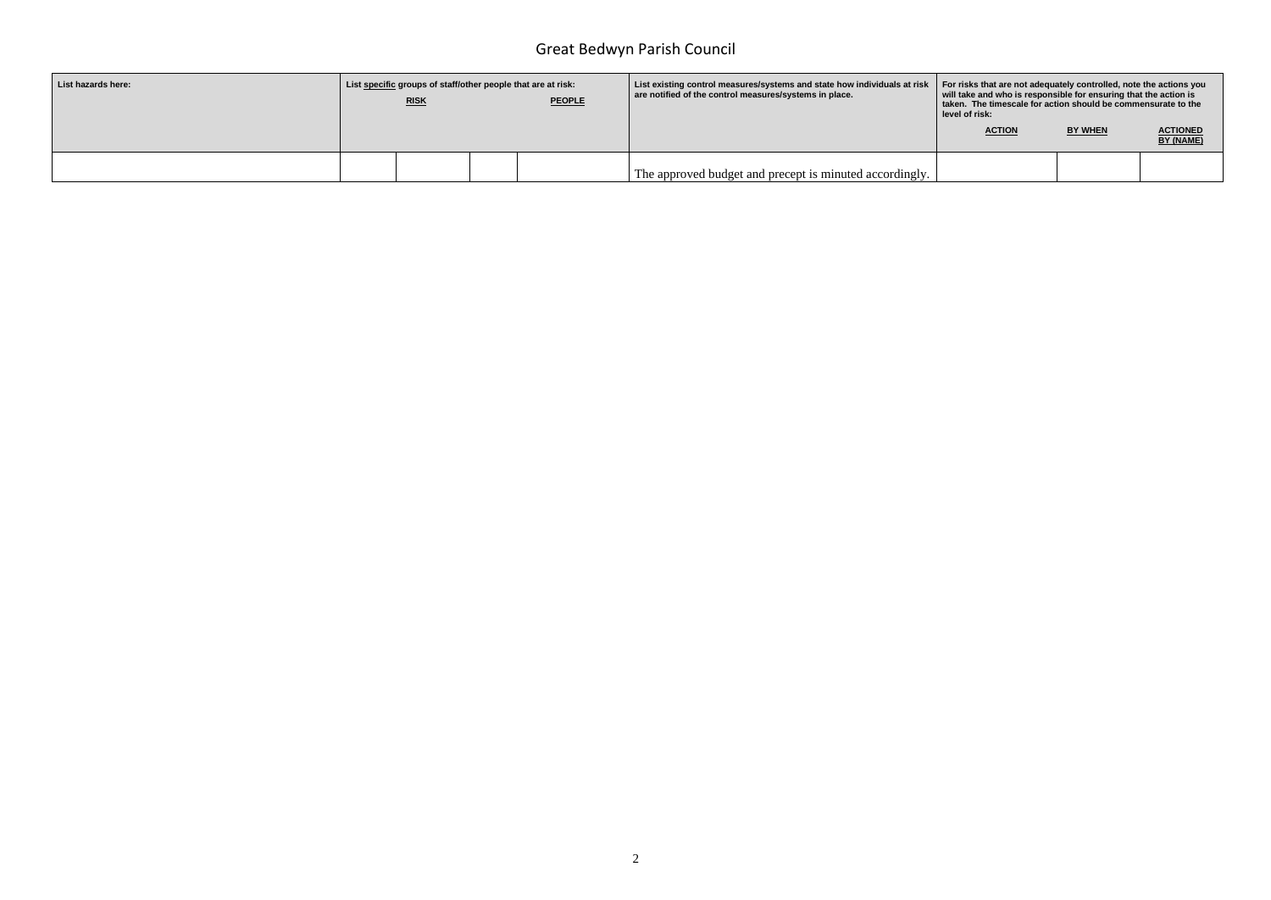| <b>List hazards here:</b> | List specific groups of staff/other people that are at risk:<br><b>RISK</b> | <b>PEOPLE</b> | List existing control measures/systems and state how individuals at risk<br>are notified of the control measures/systems in place. | For ris<br>will tal<br>taken.<br>level o |
|---------------------------|-----------------------------------------------------------------------------|---------------|------------------------------------------------------------------------------------------------------------------------------------|------------------------------------------|
|                           |                                                                             |               | The approved budget and precept is minuted accordingly.                                                                            |                                          |

| For risks that are not adequately controlled, note the actions you<br>will take and who is responsible for ensuring that the action is<br>taken. The timescale for action should be commensurate to the<br>level of risk: |  |  |  |  |  |  |
|---------------------------------------------------------------------------------------------------------------------------------------------------------------------------------------------------------------------------|--|--|--|--|--|--|
| <b>ACTIONED</b><br><b>ACTION</b><br><b>BY WHEN</b><br>BY (NAME)                                                                                                                                                           |  |  |  |  |  |  |
|                                                                                                                                                                                                                           |  |  |  |  |  |  |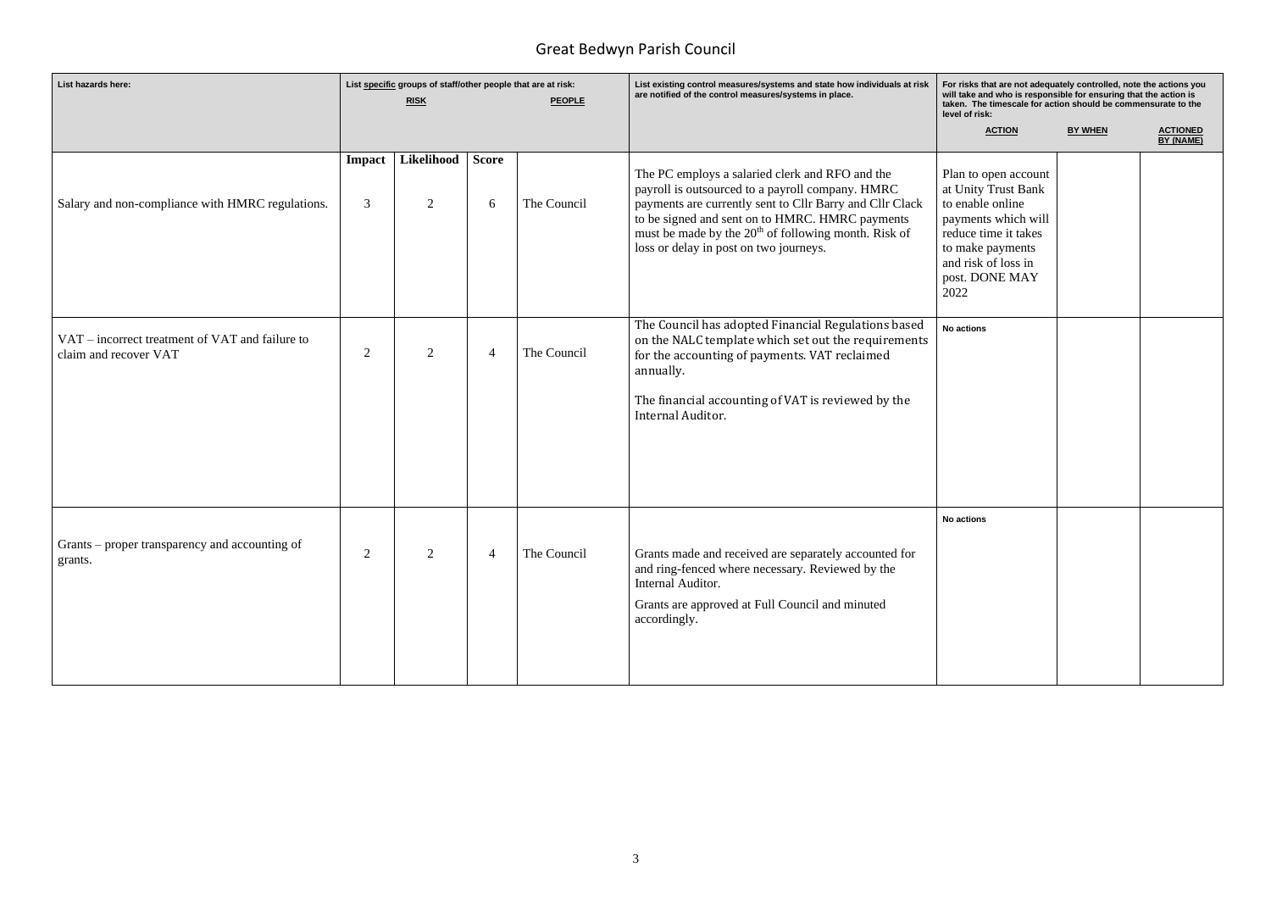| List hazards here:                                                       | List specific groups of staff/other people that are at risk:<br><b>RISK</b><br><b>PEOPLE</b> |                              |                   | List existing control measures/systems and state how individuals at risk<br>are notified of the control measures/systems in place. | For ris<br>will ta<br>taken.<br>level o                                                                                                                                                                                                                                                                                          |                                                                                      |
|--------------------------------------------------------------------------|----------------------------------------------------------------------------------------------|------------------------------|-------------------|------------------------------------------------------------------------------------------------------------------------------------|----------------------------------------------------------------------------------------------------------------------------------------------------------------------------------------------------------------------------------------------------------------------------------------------------------------------------------|--------------------------------------------------------------------------------------|
| Salary and non-compliance with HMRC regulations.                         | <b>Impact</b><br>$\mathfrak{Z}$                                                              | Likelihood<br>$\overline{2}$ | <b>Score</b><br>6 | The Council                                                                                                                        | The PC employs a salaried clerk and RFO and the<br>payroll is outsourced to a payroll company. HMRC<br>payments are currently sent to Cllr Barry and Cllr Clack<br>to be signed and sent on to HMRC. HMRC payments<br>must be made by the 20 <sup>th</sup> of following month. Risk of<br>loss or delay in post on two journeys. | Plan<br>at U <sub>1</sub><br>to en<br>payn<br>redu<br>to m<br>and 1<br>post.<br>2022 |
| VAT – incorrect treatment of VAT and failure to<br>claim and recover VAT | $\overline{2}$                                                                               | 2                            | $\overline{4}$    | The Council                                                                                                                        | The Council has adopted Financial Regulations based<br>on the NALC template which set out the requirements<br>for the accounting of payments. VAT reclaimed<br>annually.<br>The financial accounting of VAT is reviewed by the<br>Internal Auditor.                                                                              | No act                                                                               |
| Grants – proper transparency and accounting of<br>grants.                | $\overline{2}$                                                                               |                              |                   | The Council                                                                                                                        | Grants made and received are separately accounted for<br>and ring-fenced where necessary. Reviewed by the<br>Internal Auditor.<br>Grants are approved at Full Council and minuted<br>accordingly.                                                                                                                                | No act                                                                               |

| For risks that are not adequately controlled, note the actions you<br>will take and who is responsible for ensuring that the action is<br>taken. The timescale for action should be commensurate to the<br>level of risk: |                |                              |  |  |  |  |
|---------------------------------------------------------------------------------------------------------------------------------------------------------------------------------------------------------------------------|----------------|------------------------------|--|--|--|--|
| <b>ACTION</b>                                                                                                                                                                                                             | <b>BY WHEN</b> | <b>ACTIONED</b><br>BY (NAME) |  |  |  |  |
| Plan to open account<br>at Unity Trust Bank<br>to enable online<br>payments which will<br>reduce time it takes<br>to make payments<br>and risk of loss in<br>post. DONE MAY<br>2022                                       |                |                              |  |  |  |  |
| <b>No actions</b>                                                                                                                                                                                                         |                |                              |  |  |  |  |
| <b>No actions</b>                                                                                                                                                                                                         |                |                              |  |  |  |  |

T.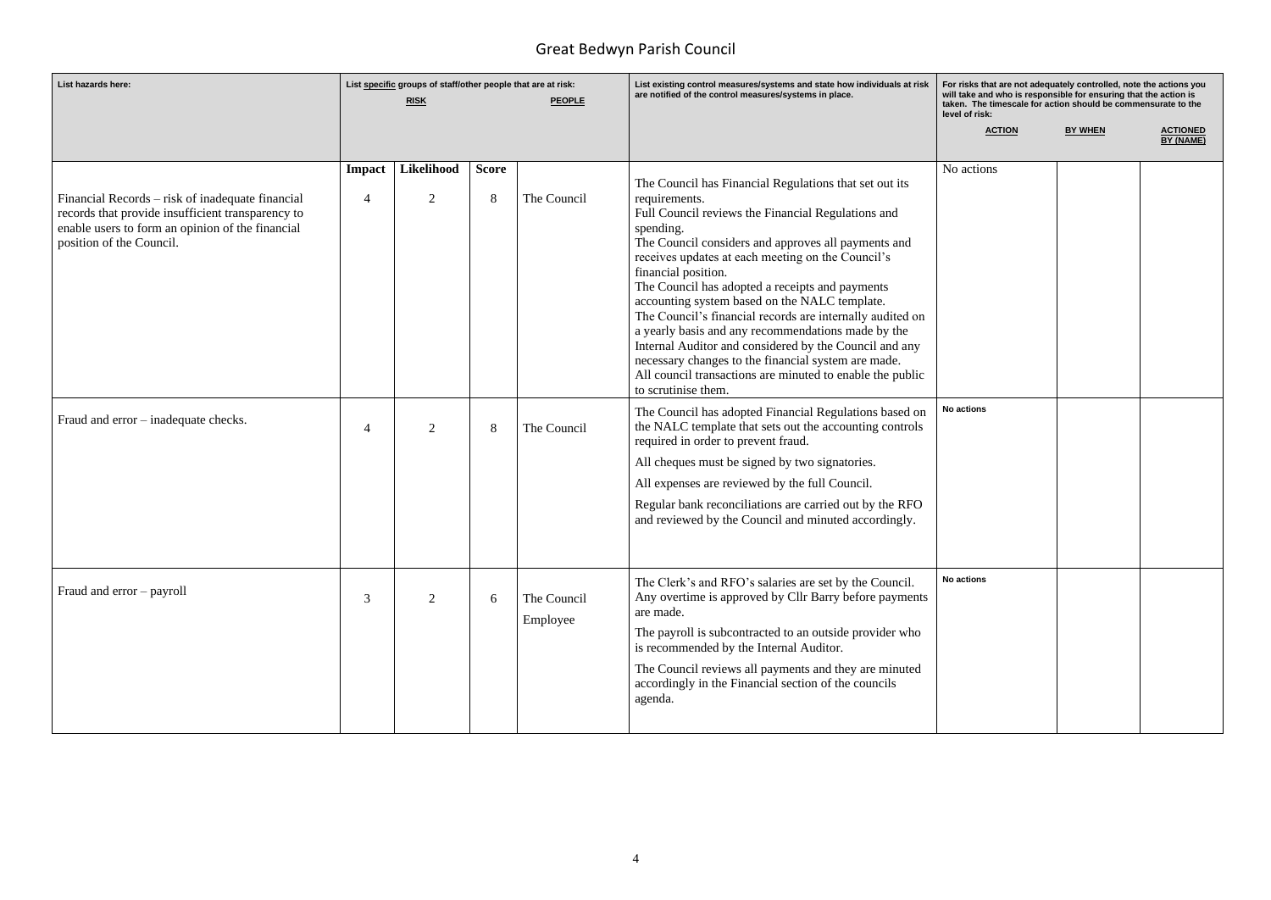| List hazards here:                                                                                                                                                                    | List specific groups of staff/other people that are at risk:<br><b>RISK</b><br><b>PEOPLE</b> |                              |                   |                         | List existing control measures/systems and state how individuals at risk<br>are notified of the control measures/systems in place.                                                                                                                                                                                                                                                                                                                                                                                                                                                                                                                                                 |      |
|---------------------------------------------------------------------------------------------------------------------------------------------------------------------------------------|----------------------------------------------------------------------------------------------|------------------------------|-------------------|-------------------------|------------------------------------------------------------------------------------------------------------------------------------------------------------------------------------------------------------------------------------------------------------------------------------------------------------------------------------------------------------------------------------------------------------------------------------------------------------------------------------------------------------------------------------------------------------------------------------------------------------------------------------------------------------------------------------|------|
| Financial Records – risk of inadequate financial<br>records that provide insufficient transparency to<br>enable users to form an opinion of the financial<br>position of the Council. | Impact<br>$\overline{4}$                                                                     | Likelihood<br>$\overline{2}$ | <b>Score</b><br>8 | The Council             | The Council has Financial Regulations that set out its<br>requirements.<br>Full Council reviews the Financial Regulations and<br>spending.<br>The Council considers and approves all payments and<br>receives updates at each meeting on the Council's<br>financial position.<br>The Council has adopted a receipts and payments<br>accounting system based on the NALC template.<br>The Council's financial records are internally audited on<br>a yearly basis and any recommendations made by the<br>Internal Auditor and considered by the Council and any<br>necessary changes to the financial system are made.<br>All council transactions are minuted to enable the public | No:  |
| Fraud and error – inadequate checks.                                                                                                                                                  | $\overline{4}$                                                                               | $\overline{2}$               | 8                 | The Council             | to scrutinise them.<br>The Council has adopted Financial Regulations based on<br>the NALC template that sets out the accounting controls<br>required in order to prevent fraud.<br>All cheques must be signed by two signatories.<br>All expenses are reviewed by the full Council.<br>Regular bank reconciliations are carried out by the RFO<br>and reviewed by the Council and minuted accordingly.                                                                                                                                                                                                                                                                             | No a |
| Fraud and error – payroll                                                                                                                                                             | 3                                                                                            | 2                            | 6                 | The Council<br>Employee | The Clerk's and RFO's salaries are set by the Council.<br>Any overtime is approved by Cllr Barry before payments<br>are made.<br>The payroll is subcontracted to an outside provider who<br>is recommended by the Internal Auditor.<br>The Council reviews all payments and they are minuted<br>accordingly in the Financial section of the councils<br>agenda.                                                                                                                                                                                                                                                                                                                    | No a |

| For risks that are not adequately controlled, note the actions you<br>will take and who is responsible for ensuring that the action is<br>taken. The timescale for action should be commensurate to the<br>level of risk: |                |                              |  |  |  |
|---------------------------------------------------------------------------------------------------------------------------------------------------------------------------------------------------------------------------|----------------|------------------------------|--|--|--|
| <b>ACTION</b>                                                                                                                                                                                                             | <b>BY WHEN</b> | <b>ACTIONED</b><br>BY (NAME) |  |  |  |
| No actions                                                                                                                                                                                                                |                |                              |  |  |  |
| No actions                                                                                                                                                                                                                |                |                              |  |  |  |
| <b>No actions</b>                                                                                                                                                                                                         |                |                              |  |  |  |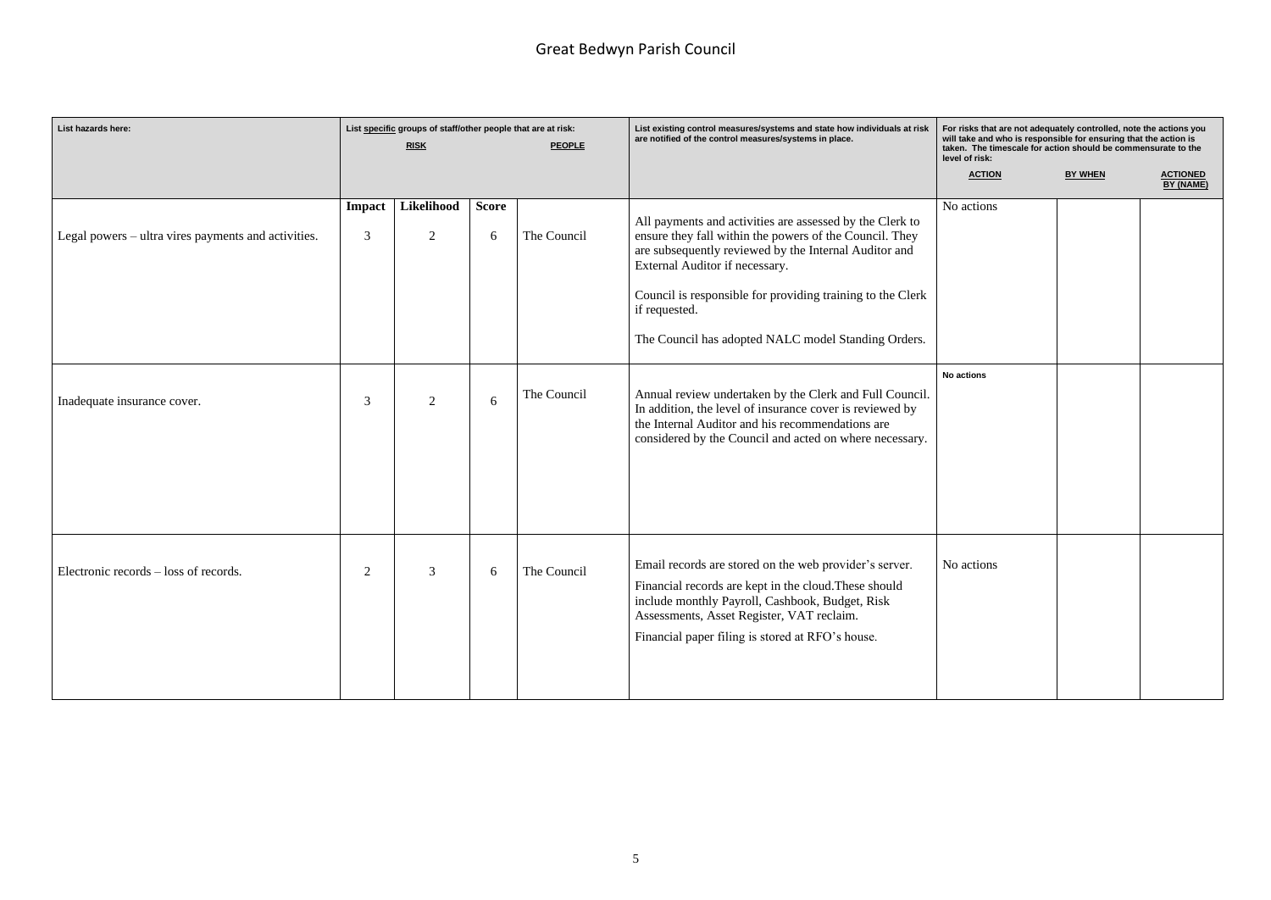| List hazards here:                                  | List specific groups of staff/other people that are at risk:<br><b>RISK</b><br><b>PEOPLE</b> |                              |                   |             | List existing control measures/systems and state how individuals at risk<br>are notified of the control measures/systems in place.                                                                                                                                                                                                                   |            |
|-----------------------------------------------------|----------------------------------------------------------------------------------------------|------------------------------|-------------------|-------------|------------------------------------------------------------------------------------------------------------------------------------------------------------------------------------------------------------------------------------------------------------------------------------------------------------------------------------------------------|------------|
| Legal powers – ultra vires payments and activities. | Impact<br>3                                                                                  | Likelihood<br>$\overline{2}$ | <b>Score</b><br>6 | The Council | All payments and activities are assessed by the Clerk to<br>ensure they fall within the powers of the Council. They<br>are subsequently reviewed by the Internal Auditor and<br>External Auditor if necessary.<br>Council is responsible for providing training to the Clerk<br>if requested.<br>The Council has adopted NALC model Standing Orders. | No actio   |
| Inadequate insurance cover.                         | 3                                                                                            | $\overline{2}$               | 6                 | The Council | Annual review undertaken by the Clerk and Full Council.<br>In addition, the level of insurance cover is reviewed by<br>the Internal Auditor and his recommendations are<br>considered by the Council and acted on where necessary.                                                                                                                   | No actions |
| Electronic records – loss of records.               | $\overline{2}$                                                                               | 3                            | 6                 | The Council | Email records are stored on the web provider's server.<br>Financial records are kept in the cloud. These should<br>include monthly Payroll, Cashbook, Budget, Risk<br>Assessments, Asset Register, VAT reclaim.<br>Financial paper filing is stored at RFO's house.                                                                                  | No actio   |

| For risks that are not adequately controlled, note the actions you<br>will take and who is responsible for ensuring that the action is<br>taken. The timescale for action should be commensurate to the<br>level of risk: |                |                              |  |  |
|---------------------------------------------------------------------------------------------------------------------------------------------------------------------------------------------------------------------------|----------------|------------------------------|--|--|
| <b>ACTION</b>                                                                                                                                                                                                             | <b>BY WHEN</b> | <b>ACTIONED</b><br>BY (NAME) |  |  |
| No actions                                                                                                                                                                                                                |                |                              |  |  |
| No actions                                                                                                                                                                                                                |                |                              |  |  |
| No actions                                                                                                                                                                                                                |                |                              |  |  |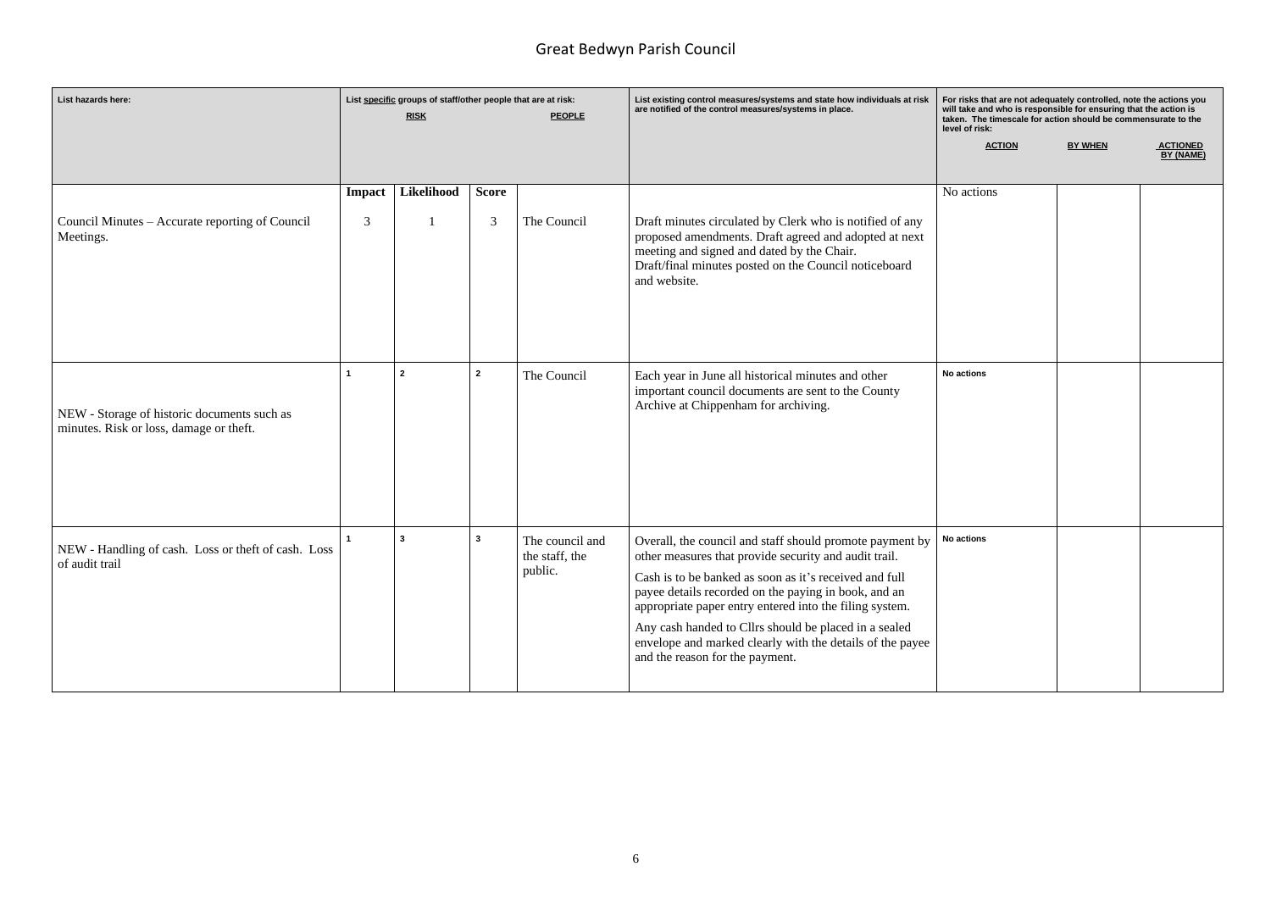| List hazards here:                                                                     | List specific groups of staff/other people that are at risk:<br><b>RISK</b><br><b>PEOPLE</b> |              |                |                                              | List existing control measures/systems and state how individuals at risk<br>For ri<br>are notified of the control measures/systems in place.<br>will ta<br>taken<br>level                                                                                                                                                                                                                                                                               |       |  |
|----------------------------------------------------------------------------------------|----------------------------------------------------------------------------------------------|--------------|----------------|----------------------------------------------|---------------------------------------------------------------------------------------------------------------------------------------------------------------------------------------------------------------------------------------------------------------------------------------------------------------------------------------------------------------------------------------------------------------------------------------------------------|-------|--|
|                                                                                        | <b>Impact</b>                                                                                | Likelihood   | <b>Score</b>   |                                              |                                                                                                                                                                                                                                                                                                                                                                                                                                                         | No a  |  |
| Council Minutes – Accurate reporting of Council<br>Meetings.                           | 3                                                                                            |              | 3              | The Council                                  | Draft minutes circulated by Clerk who is notified of any<br>proposed amendments. Draft agreed and adopted at next<br>meeting and signed and dated by the Chair.<br>Draft/final minutes posted on the Council noticeboard<br>and website.                                                                                                                                                                                                                |       |  |
| NEW - Storage of historic documents such as<br>minutes. Risk or loss, damage or theft. |                                                                                              | $\mathbf{2}$ | $\overline{2}$ | The Council                                  | Each year in June all historical minutes and other<br>important council documents are sent to the County<br>Archive at Chippenham for archiving.                                                                                                                                                                                                                                                                                                        | No ac |  |
| NEW - Handling of cash. Loss or theft of cash. Loss<br>of audit trail                  |                                                                                              | $\mathbf{3}$ | 3              | The council and<br>the staff, the<br>public. | Overall, the council and staff should promote payment by<br>other measures that provide security and audit trail.<br>Cash is to be banked as soon as it's received and full<br>payee details recorded on the paying in book, and an<br>appropriate paper entry entered into the filing system.<br>Any cash handed to Cllrs should be placed in a sealed<br>envelope and marked clearly with the details of the payee<br>and the reason for the payment. | No ac |  |

| For risks that are not adequately controlled, note the actions you<br>will take and who is responsible for ensuring that the action is<br>taken. The timescale for action should be commensurate to the<br>level of risk: |                |                              |  |  |  |  |  |
|---------------------------------------------------------------------------------------------------------------------------------------------------------------------------------------------------------------------------|----------------|------------------------------|--|--|--|--|--|
| <b>ACTION</b>                                                                                                                                                                                                             | <b>BY WHEN</b> | <b>ACTIONED</b><br>BY (NAME) |  |  |  |  |  |
| No actions                                                                                                                                                                                                                |                |                              |  |  |  |  |  |
| <b>No actions</b>                                                                                                                                                                                                         |                |                              |  |  |  |  |  |
| <b>No actions</b>                                                                                                                                                                                                         |                |                              |  |  |  |  |  |